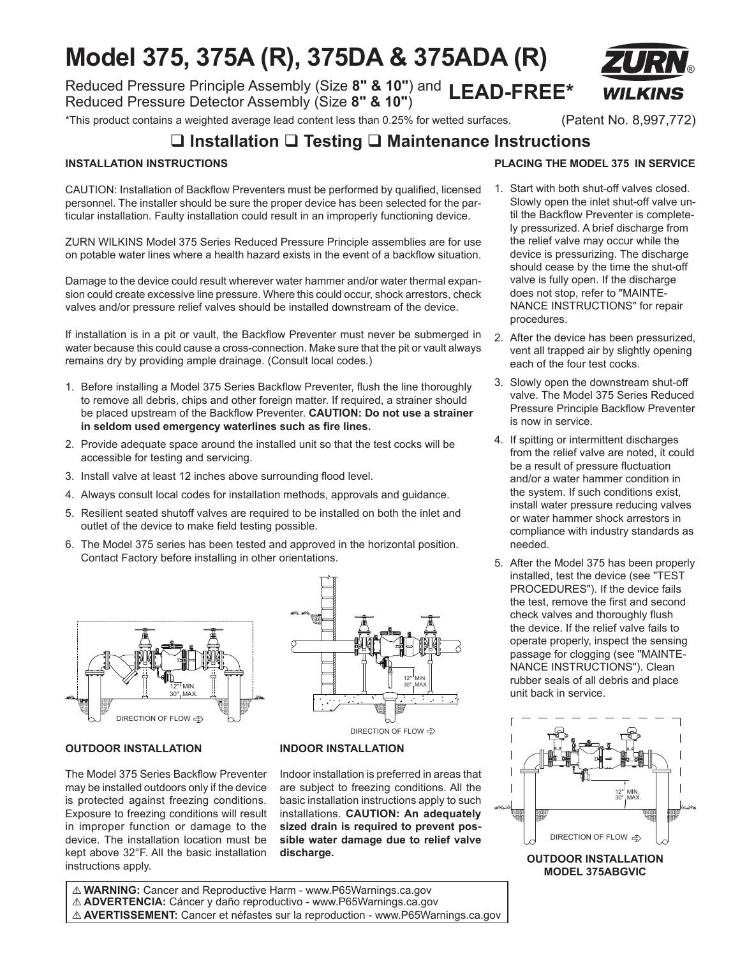# **Model 375, 375A (R), 375DA & 375ADA (R)**

Reduced Pressure Principle Assembly (Size **8" & 10"**) and **LEAD-FREE\*** Reduced Pressure Detector Assembly (Size **8" & 10"**)

\*This product contains a weighted average lead content less than 0.25% for wetted surfaces. (Patent No. 8,997,772)

®

# **Installation Testing Maintenance Instructions**

### **INSTALLATION INSTRUCTIONS**

CAUTION: Installation of Backflow Preventers must be performed by qualified, licensed personnel. The installer should be sure the proper device has been selected for the particular installation. Faulty installation could result in an improperly functioning device.

ZURN WILKINS Model 375 Series Reduced Pressure Principle assemblies are for use on potable water lines where a health hazard exists in the event of a backflow situation.

Damage to the device could result wherever water hammer and/or water thermal expansion could create excessive line pressure. Where this could occur, shock arrestors, check valves and/or pressure relief valves should be installed downstream of the device.

If installation is in a pit or vault, the Backflow Preventer must never be submerged in water because this could cause a cross-connection. Make sure that the pit or vault always remains dry by providing ample drainage. (Consult local codes.)

- 1. Before installing a Model 375 Series Backflow Preventer, flush the line thoroughly to remove all debris, chips and other foreign matter. If required, a strainer should be placed upstream of the Backflow Preventer. **CAUTION: Do not use a strainer in seldom used emergency waterlines such as fire lines.**
- 2. Provide adequate space around the installed unit so that the test cocks will be accessible for testing and servicing.
- 3. Install valve at least 12 inches above surrounding flood level.
- 4. Always consult local codes for installation methods, approvals and guidance.
- 5. Resilient seated shutoff valves are required to be installed on both the inlet and outlet of the device to make field testing possible.
- 6. The Model 375 series has been tested and approved in the horizontal position. Contact Factory before installing in other orientations.



# DIRECTION OF FLOW 12" MIN. 30" MAX.

**INDOOR INSTALLATION**

### **OUTDOOR INSTALLATION**

The Model 375 Series Backflow Preventer may be installed outdoors only if the device is protected against freezing conditions. Exposure to freezing conditions will result in improper function or damage to the device. The installation location must be kept above 32°F. All the basic installation instructions apply.

Indoor installation is preferred in areas that are subject to freezing conditions. All the basic installation instructions apply to such installations. **CAUTION: An adequately sized drain is required to prevent possible water damage due to relief valve discharge.**

# **PLACING THE MODEL 375 IN SERVICE**

- 1. Start with both shut-off valves closed. Slowly open the inlet shut-off valve until the Backflow Preventer is completely pressurized. A brief discharge from the relief valve may occur while the device is pressurizing. The discharge should cease by the time the shut-off valve is fully open. If the discharge does not stop, refer to "MAINTE-NANCE INSTRUCTIONS" for repair procedures.
- 2. After the device has been pressurized, vent all trapped air by slightly opening each of the four test cocks.
- 3. Slowly open the downstream shut-off valve. The Model 375 Series Reduced Pressure Principle Backflow Preventer is now in service.
- 4. If spitting or intermittent discharges from the relief valve are noted, it could be a result of pressure fluctuation and/or a water hammer condition in the system. If such conditions exist, install water pressure reducing valves or water hammer shock arrestors in compliance with industry standards as needed.
- 5. After the Model 375 has been properly installed, test the device (see "TEST PROCEDURES"). If the device fails the test, remove the first and second check valves and thoroughly flush the device. If the relief valve fails to operate properly, inspect the sensing passage for clogging (see "MAINTE-NANCE INSTRUCTIONS"). Clean rubber seals of all debris and place unit back in service.



! **WARNING:** Cancer and Reproductive Harm - www.P65Warnings.ca.gov ! **ADVERTENCIA:** Cáncer y daño reproductivo - www.P65Warnings.ca.gov

! **AVERTISSEMENT:** Cancer et néfastes sur la reproduction - www.P65Warnings.ca.gov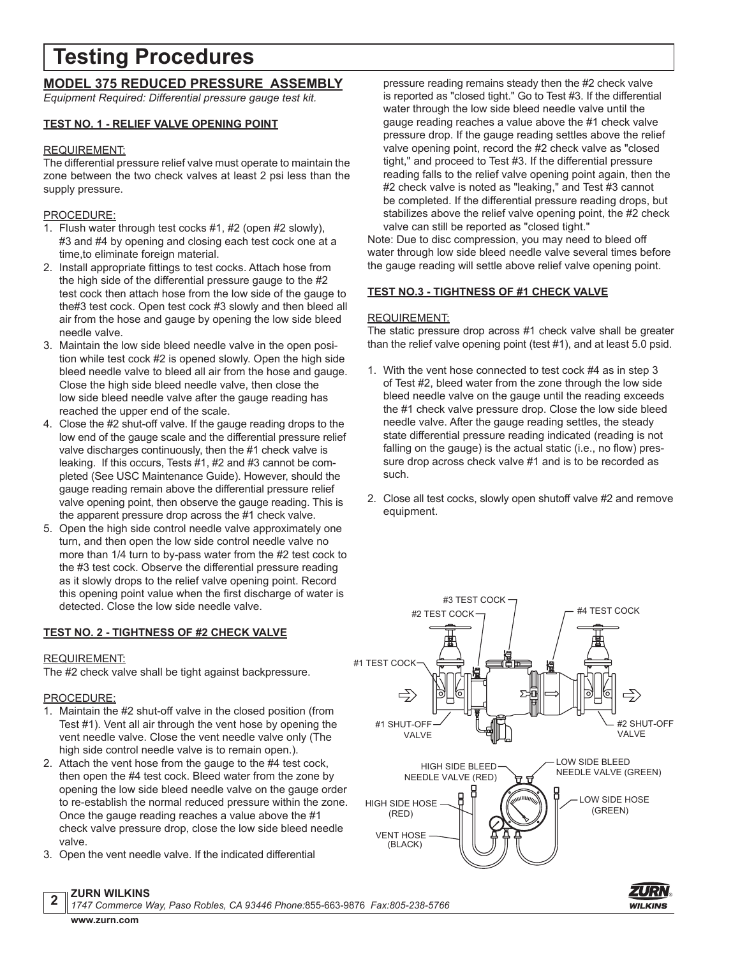# **Testing Procedures**

# **MODEL 375 REDUCED PRESSURE ASSEMBLY**

*Equipment Required: Differential pressure gauge test kit.*

### **TEST NO. 1 - RELIEF VALVE OPENING POINT**

### REQUIREMENT:

The differential pressure relief valve must operate to maintain the zone between the two check valves at least 2 psi less than the supply pressure.

### PROCEDURE:

- 1. Flush water through test cocks #1, #2 (open #2 slowly), #3 and #4 by opening and closing each test cock one at a time,to eliminate foreign material.
- 2. Install appropriate fittings to test cocks. Attach hose from the high side of the differential pressure gauge to the #2 test cock then attach hose from the low side of the gauge to the#3 test cock. Open test cock #3 slowly and then bleed all air from the hose and gauge by opening the low side bleed needle valve.
- 3. Maintain the low side bleed needle valve in the open position while test cock #2 is opened slowly. Open the high side bleed needle valve to bleed all air from the hose and gauge. Close the high side bleed needle valve, then close the low side bleed needle valve after the gauge reading has reached the upper end of the scale.
- 4. Close the #2 shut-off valve. If the gauge reading drops to the low end of the gauge scale and the differential pressure relief valve discharges continuously, then the #1 check valve is leaking. If this occurs, Tests #1, #2 and #3 cannot be completed (See USC Maintenance Guide). However, should the gauge reading remain above the differential pressure relief valve opening point, then observe the gauge reading. This is the apparent pressure drop across the #1 check valve.
- 5. Open the high side control needle valve approximately one turn, and then open the low side control needle valve no more than 1/4 turn to by-pass water from the #2 test cock to the #3 test cock. Observe the differential pressure reading as it slowly drops to the relief valve opening point. Record this opening point value when the first discharge of water is detected. Close the low side needle valve.

### **TEST NO. 2 - TIGHTNESS OF #2 CHECK VALVE**

### REQUIREMENT:

The #2 check valve shall be tight against backpressure.

# PROCEDURE:

- 1. Maintain the #2 shut-off valve in the closed position (from Test #1). Vent all air through the vent hose by opening the vent needle valve. Close the vent needle valve only (The high side control needle valve is to remain open.).
- 2. Attach the vent hose from the gauge to the #4 test cock, then open the #4 test cock. Bleed water from the zone by opening the low side bleed needle valve on the gauge order to re-establish the normal reduced pressure within the zone. Once the gauge reading reaches a value above the #1 check valve pressure drop, close the low side bleed needle valve.
- 3. Open the vent needle valve. If the indicated differential

#### pressure reading remains steady then the #2 check valve is reported as "closed tight." Go to Test #3. If the differential water through the low side bleed needle valve until the gauge reading reaches a value above the #1 check valve pressure drop. If the gauge reading settles above the relief valve opening point, record the #2 check valve as "closed tight," and proceed to Test #3. If the differential pressure reading falls to the relief valve opening point again, then the #2 check valve is noted as "leaking," and Test #3 cannot be completed. If the differential pressure reading drops, but stabilizes above the relief valve opening point, the #2 check valve can still be reported as "closed tight."

Note: Due to disc compression, you may need to bleed off water through low side bleed needle valve several times before the gauge reading will settle above relief valve opening point.

# **TEST NO.3 - TIGHTNESS OF #1 CHECK VALVE**

## REQUIREMENT:

The static pressure drop across #1 check valve shall be greater than the relief valve opening point (test #1), and at least 5.0 psid.

- 1. With the vent hose connected to test cock #4 as in step 3 of Test #2, bleed water from the zone through the low side bleed needle valve on the gauge until the reading exceeds the #1 check valve pressure drop. Close the low side bleed needle valve. After the gauge reading settles, the steady state differential pressure reading indicated (reading is not falling on the gauge) is the actual static (i.e., no flow) pressure drop across check valve #1 and is to be recorded as such.
- 2. Close all test cocks, slowly open shutoff valve #2 and remove equipment.





*1747 Commerce Way, Paso Robles, CA 93446 Phone:*855-663-9876 *Fax:805-238-5766* **www.zurn.com**

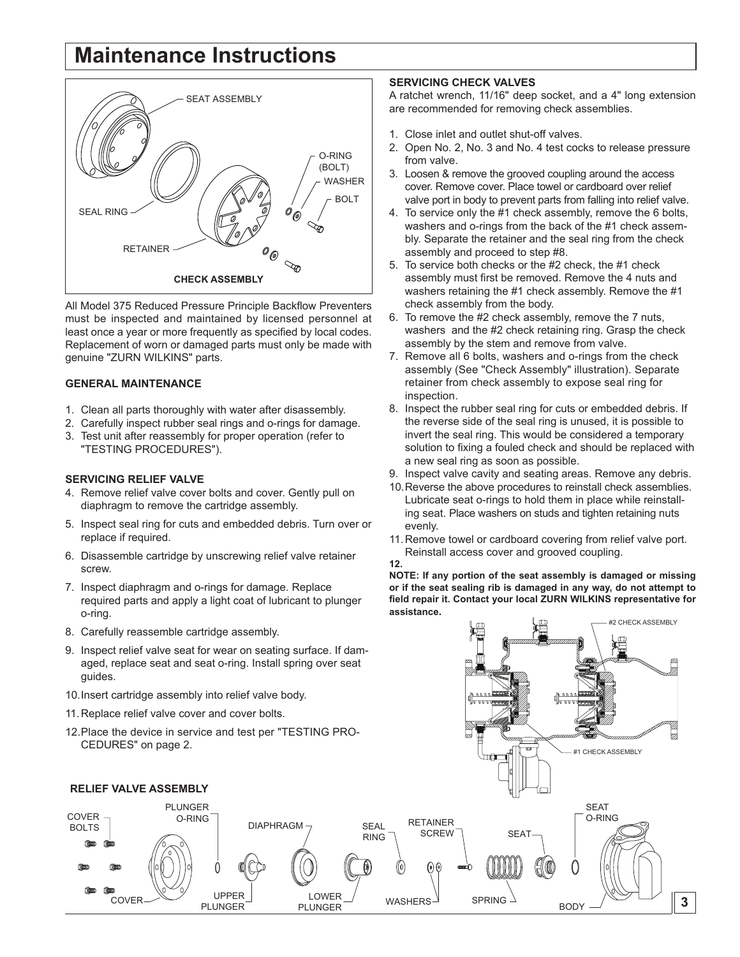# **Maintenance Instructions**



All Model 375 Reduced Pressure Principle Backflow Preventers must be inspected and maintained by licensed personnel at least once a year or more frequently as specified by local codes. Replacement of worn or damaged parts must only be made with genuine "ZURN WILKINS" parts.

#### **GENERAL MAINTENANCE**

- 1. Clean all parts thoroughly with water after disassembly.
- 2. Carefully inspect rubber seal rings and o-rings for damage.
- 3. Test unit after reassembly for proper operation (refer to "TESTING PROCEDURES").

#### **SERVICING RELIEF VALVE**

- 4. Remove relief valve cover bolts and cover. Gently pull on diaphragm to remove the cartridge assembly.
- 5. Inspect seal ring for cuts and embedded debris. Turn over or replace if required.
- 6. Disassemble cartridge by unscrewing relief valve retainer screw.
- 7. Inspect diaphragm and o-rings for damage. Replace required parts and apply a light coat of lubricant to plunger o-ring.
- 8. Carefully reassemble cartridge assembly.

### **SERVICING CHECK VALVES**

A ratchet wrench, 11/16" deep socket, and a 4" long extension are recommended for removing check assemblies.

- 1. Close inlet and outlet shut-off valves.
- 2. Open No. 2, No. 3 and No. 4 test cocks to release pressure from valve.
- 3. Loosen & remove the grooved coupling around the access cover. Remove cover. Place towel or cardboard over relief valve port in body to prevent parts from falling into relief valve.
- 4. To service only the #1 check assembly, remove the 6 bolts, washers and o-rings from the back of the #1 check assembly. Separate the retainer and the seal ring from the check assembly and proceed to step #8.
- 5. To service both checks or the #2 check, the #1 check assembly must first be removed. Remove the 4 nuts and washers retaining the #1 check assembly. Remove the #1 check assembly from the body.
- 6. To remove the #2 check assembly, remove the 7 nuts, washers and the #2 check retaining ring. Grasp the check assembly by the stem and remove from valve.
- 7. Remove all 6 bolts, washers and o-rings from the check assembly (See "Check Assembly" illustration). Separate retainer from check assembly to expose seal ring for inspection.
- 8. Inspect the rubber seal ring for cuts or embedded debris. If the reverse side of the seal ring is unused, it is possible to invert the seal ring. This would be considered a temporary solution to fixing a fouled check and should be replaced with a new seal ring as soon as possible.
- 9. Inspect valve cavity and seating areas. Remove any debris.
- 10.Reverse the above procedures to reinstall check assemblies. Lubricate seat o-rings to hold them in place while reinstalling seat. Place washers on studs and tighten retaining nuts evenly.
- 11.Remove towel or cardboard covering from relief valve port. Reinstall access cover and grooved coupling. **12.**

**NOTE: If any portion of the seat assembly is damaged or missing or if the seat sealing rib is damaged in any way, do not attempt to field repair it. Contact your local ZURN WILKINS representative for assistance.**

#2 CHECK ASSEMBLY